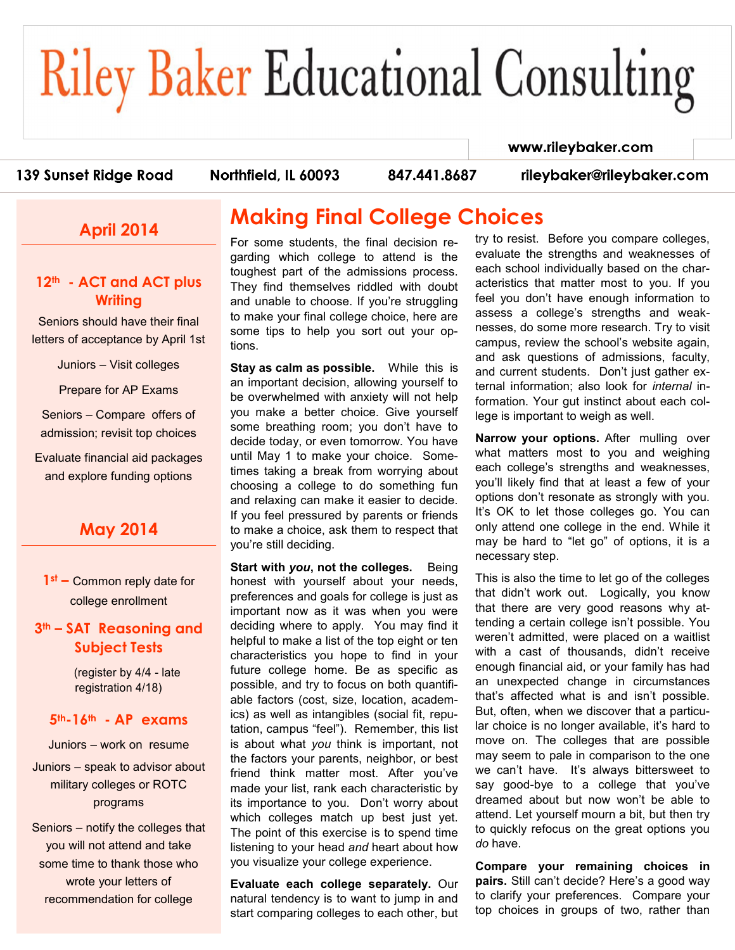# **Riley Baker Educational Consulting**

#### www.rileybaker.com

#### 139 Sunset Ridge Road

Northfield, IL 60093

847.441.8687

rileybaker@rileybaker.com

## **April 2014**

### **12th - ACT and ACT plus Writing**

Seniors should have their final letters of acceptance by April 1st

Juniors – Visit colleges

Prepare for AP Exams

Seniors – Compare offers of admission; revisit top choices

Evaluate financial aid packages and explore funding options

## **May 2014**

**1st –** Common reply date for college enrollment

#### **3th – SAT Reasoning and Subject Tests**

(register by 4/4 - late registration 4/18)

#### **5th-16th - AP exams**

Juniors – work on resume

Juniors – speak to advisor about military colleges or ROTC programs

Seniors – notify the colleges that you will not attend and take some time to thank those who wrote your letters of recommendation for college

# **Making Final College Choices**

For some students, the final decision regarding which college to attend is the toughest part of the admissions process. They find themselves riddled with doubt and unable to choose. If you're struggling to make your final college choice, here are some tips to help you sort out your options.

**Stay as calm as possible.** While this is an important decision, allowing yourself to be overwhelmed with anxiety will not help you make a better choice. Give yourself some breathing room; you don't have to decide today, or even tomorrow. You have until May 1 to make your choice. Sometimes taking a break from worrying about choosing a college to do something fun and relaxing can make it easier to decide. If you feel pressured by parents or friends to make a choice, ask them to respect that you're still deciding.

**Start with** *you***, not the colleges.** Being honest with yourself about your needs, preferences and goals for college is just as important now as it was when you were deciding where to apply. You may find it helpful to make a list of the top eight or ten characteristics you hope to find in your future college home. Be as specific as possible, and try to focus on both quantifiable factors (cost, size, location, academics) as well as intangibles (social fit, reputation, campus "feel"). Remember, this list is about what *you* think is important, not the factors your parents, neighbor, or best friend think matter most. After you've made your list, rank each characteristic by its importance to you. Don't worry about which colleges match up best just yet. The point of this exercise is to spend time listening to your head *and* heart about how you visualize your college experience.

**Evaluate each college separately.** Our natural tendency is to want to jump in and start comparing colleges to each other, but try to resist. Before you compare colleges, evaluate the strengths and weaknesses of each school individually based on the characteristics that matter most to you. If you feel you don't have enough information to assess a college's strengths and weaknesses, do some more research. Try to visit campus, review the school's website again, and ask questions of admissions, faculty, and current students. Don't just gather external information; also look for *internal* information. Your gut instinct about each college is important to weigh as well.

**Narrow your options.** After mulling over what matters most to you and weighing each college's strengths and weaknesses, you'll likely find that at least a few of your options don't resonate as strongly with you. It's OK to let those colleges go. You can only attend one college in the end. While it may be hard to "let go" of options, it is a necessary step.

This is also the time to let go of the colleges that didn't work out. Logically, you know that there are very good reasons why attending a certain college isn't possible. You weren't admitted, were placed on a waitlist with a cast of thousands, didn't receive enough financial aid, or your family has had an unexpected change in circumstances that's affected what is and isn't possible. But, often, when we discover that a particular choice is no longer available, it's hard to move on. The colleges that are possible may seem to pale in comparison to the one we can't have. It's always bittersweet to say good-bye to a college that you've dreamed about but now won't be able to attend. Let yourself mourn a bit, but then try to quickly refocus on the great options you *do* have.

**Compare your remaining choices in pairs.** Still can't decide? Here's a good way to clarify your preferences. Compare your top choices in groups of two, rather than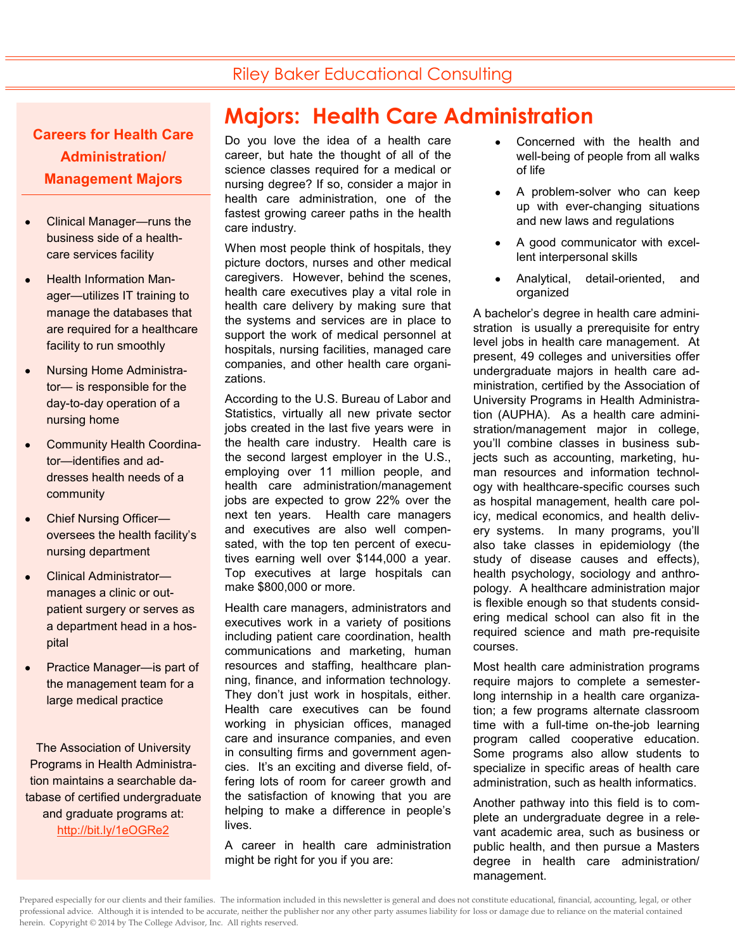## Riley Baker Educational Consulting

**Careers for Health Care Administration/ Management Majors**

- Clinical Manager—runs the business side of a healthcare services facility
- Health Information Manager—utilizes IT training to manage the databases that are required for a healthcare facility to run smoothly
- Nursing Home Administrator— is responsible for the day-to-day operation of a nursing home
- Community Health Coordinator—identifies and addresses health needs of a community
- Chief Nursing Officer oversees the health facility's nursing department
- Clinical Administrator manages a clinic or outpatient surgery or serves as a department head in a hospital
- Practice Manager—is part of the management team for a large medical practice

The Association of University Programs in Health Administration maintains a searchable database of certified undergraduate and graduate programs at: [http://bit.ly/1eOGRe2](http://network.aupha.org/home1)

# **Majors: Health Care Administration**

Do you love the idea of a health care career, but hate the thought of all of the science classes required for a medical or nursing degree? If so, consider a major in health care administration, one of the fastest growing career paths in the health care industry.

When most people think of hospitals, they picture doctors, nurses and other medical caregivers. However, behind the scenes, health care executives play a vital role in health care delivery by making sure that the systems and services are in place to support the work of medical personnel at hospitals, nursing facilities, managed care companies, and other health care organizations.

According to the U.S. Bureau of Labor and Statistics, virtually all new private sector jobs created in the last five years were in the health care industry. Health care is the second largest employer in the U.S., employing over 11 million people, and health care administration/management jobs are expected to grow 22% over the next ten years. Health care managers and executives are also well compensated, with the top ten percent of executives earning well over \$144,000 a year. Top executives at large hospitals can make \$800,000 or more.

Health care managers, administrators and executives work in a variety of positions including patient care coordination, health communications and marketing, human resources and staffing, healthcare planning, finance, and information technology. They don't just work in hospitals, either. Health care executives can be found working in physician offices, managed care and insurance companies, and even in consulting firms and government agencies. It's an exciting and diverse field, offering lots of room for career growth and the satisfaction of knowing that you are helping to make a difference in people's lives.

A career in health care administration might be right for you if you are:

- Concerned with the health and well-being of people from all walks of life
- A problem-solver who can keep up with ever-changing situations and new laws and regulations
- A good communicator with excellent interpersonal skills
- Analytical, detail-oriented, and organized

A bachelor's degree in health care administration is usually a prerequisite for entry level jobs in health care management. At present, 49 colleges and universities offer undergraduate majors in health care administration, certified by the Association of University Programs in Health Administration (AUPHA). As a health care administration/management major in college, you'll combine classes in business subjects such as accounting, marketing, human resources and information technology with healthcare-specific courses such as hospital management, health care policy, medical economics, and health delivery systems. In many programs, you'll also take classes in epidemiology (the study of disease causes and effects), health psychology, sociology and anthropology. A healthcare administration major is flexible enough so that students considering medical school can also fit in the required science and math pre-requisite courses.

Most health care administration programs require majors to complete a semesterlong internship in a health care organization; a few programs alternate classroom time with a full-time on-the-job learning program called cooperative education. Some programs also allow students to specialize in specific areas of health care administration, such as health informatics.

Another pathway into this field is to complete an undergraduate degree in a relevant academic area, such as business or public health, and then pursue a Masters degree in health care administration/ management.

Prepared especially for our clients and their families. The information included in this newsletter is general and does not constitute educational, financial, accounting, legal, or other professional advice. Although it is intended to be accurate, neither the publisher nor any other party assumes liability for loss or damage due to reliance on the material contained herein. Copyright © 2014 by The College Advisor, Inc. All rights reserved.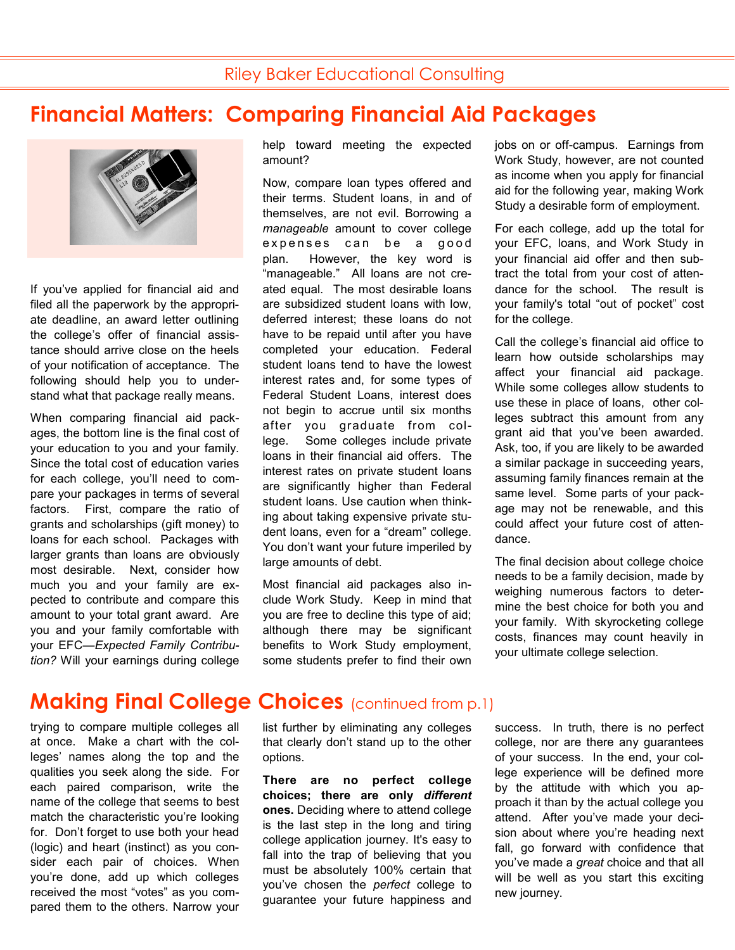# **Financial Matters: Comparing Financial Aid Packages**



If you've applied for financial aid and filed all the paperwork by the appropriate deadline, an award letter outlining the college's offer of financial assistance should arrive close on the heels of your notification of acceptance. The following should help you to understand what that package really means.

When comparing financial aid packages, the bottom line is the final cost of your education to you and your family. Since the total cost of education varies for each college, you'll need to compare your packages in terms of several factors. First, compare the ratio of grants and scholarships (gift money) to loans for each school. Packages with larger grants than loans are obviously most desirable. Next, consider how much you and your family are expected to contribute and compare this amount to your total grant award. Are you and your family comfortable with your EFC—*Expected Family Contribution?* Will your earnings during college help toward meeting the expected amount?

Now, compare loan types offered and their terms. Student loans, in and of themselves, are not evil. Borrowing a *manageable* amount to cover college expenses can be a good plan. However, the key word is "manageable." All loans are not created equal. The most desirable loans are subsidized student loans with low, deferred interest; these loans do not have to be repaid until after you have completed your education. Federal student loans tend to have the lowest interest rates and, for some types of Federal Student Loans, interest does not begin to accrue until six months after you graduate from college. Some colleges include private loans in their financial aid offers. The interest rates on private student loans are significantly higher than Federal student loans. Use caution when thinking about taking expensive private student loans, even for a "dream" college. You don't want your future imperiled by large amounts of debt.

Most financial aid packages also include Work Study. Keep in mind that you are free to decline this type of aid; although there may be significant benefits to Work Study employment, some students prefer to find their own

jobs on or off-campus. Earnings from Work Study, however, are not counted as income when you apply for financial aid for the following year, making Work Study a desirable form of employment.

For each college, add up the total for your EFC, loans, and Work Study in your financial aid offer and then subtract the total from your cost of attendance for the school. The result is your family's total "out of pocket" cost for the college.

Call the college's financial aid office to learn how outside scholarships may affect your financial aid package. While some colleges allow students to use these in place of loans, other colleges subtract this amount from any grant aid that you've been awarded. Ask, too, if you are likely to be awarded a similar package in succeeding years, assuming family finances remain at the same level. Some parts of your package may not be renewable, and this could affect your future cost of attendance.

The final decision about college choice needs to be a family decision, made by weighing numerous factors to determine the best choice for both you and your family. With skyrocketing college costs, finances may count heavily in your ultimate college selection.

## **Making Final College Choices** (continued from p.1)

trying to compare multiple colleges all at once. Make a chart with the colleges' names along the top and the qualities you seek along the side. For each paired comparison, write the name of the college that seems to best match the characteristic you're looking for. Don't forget to use both your head (logic) and heart (instinct) as you consider each pair of choices. When you're done, add up which colleges received the most "votes" as you compared them to the others. Narrow your list further by eliminating any colleges that clearly don't stand up to the other options.

**There are no perfect college choices; there are only** *different* **ones.** Deciding where to attend college is the last step in the long and tiring college application journey. It's easy to fall into the trap of believing that you must be absolutely 100% certain that you've chosen the *perfect* college to guarantee your future happiness and success. In truth, there is no perfect college, nor are there any guarantees of your success. In the end, your college experience will be defined more by the attitude with which you approach it than by the actual college you attend. After you've made your decision about where you're heading next fall, go forward with confidence that you've made a *great* choice and that all will be well as you start this exciting new journey.